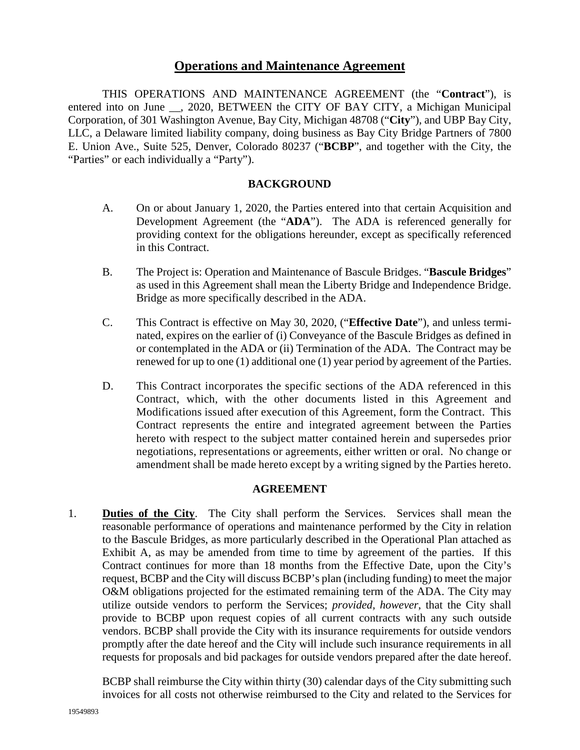# **Operations and Maintenance Agreement**

THIS OPERATIONS AND MAINTENANCE AGREEMENT (the "**Contract**"), is entered into on June \_\_, 2020, BETWEEN the CITY OF BAY CITY, a Michigan Municipal Corporation, of 301 Washington Avenue, Bay City, Michigan 48708 ("**City**"), and UBP Bay City, LLC, a Delaware limited liability company, doing business as Bay City Bridge Partners of 7800 E. Union Ave., Suite 525, Denver, Colorado 80237 ("**BCBP**", and together with the City, the "Parties" or each individually a "Party").

#### **BACKGROUND**

- A. On or about January 1, 2020, the Parties entered into that certain Acquisition and Development Agreement (the "**ADA**"). The ADA is referenced generally for providing context for the obligations hereunder, except as specifically referenced in this Contract.
- B. The Project is: Operation and Maintenance of Bascule Bridges. "**Bascule Bridges**" as used in this Agreement shall mean the Liberty Bridge and Independence Bridge. Bridge as more specifically described in the ADA.
- C. This Contract is effective on May 30, 2020, ("**Effective Date**"), and unless terminated, expires on the earlier of (i) Conveyance of the Bascule Bridges as defined in or contemplated in the ADA or (ii) Termination of the ADA. The Contract may be renewed for up to one (1) additional one (1) year period by agreement of the Parties.
- D. This Contract incorporates the specific sections of the ADA referenced in this Contract, which, with the other documents listed in this Agreement and Modifications issued after execution of this Agreement, form the Contract. This Contract represents the entire and integrated agreement between the Parties hereto with respect to the subject matter contained herein and supersedes prior negotiations, representations or agreements, either written or oral. No change or amendment shall be made hereto except by a writing signed by the Parties hereto.

#### **AGREEMENT**

1. **Duties of the City**. The City shall perform the Services. Services shall mean the reasonable performance of operations and maintenance performed by the City in relation to the Bascule Bridges, as more particularly described in the Operational Plan attached as Exhibit A, as may be amended from time to time by agreement of the parties. If this Contract continues for more than 18 months from the Effective Date, upon the City's request, BCBP and the City will discuss BCBP's plan (including funding) to meet the major O&M obligations projected for the estimated remaining term of the ADA. The City may utilize outside vendors to perform the Services; *provided, however*, that the City shall provide to BCBP upon request copies of all current contracts with any such outside vendors. BCBP shall provide the City with its insurance requirements for outside vendors promptly after the date hereof and the City will include such insurance requirements in all requests for proposals and bid packages for outside vendors prepared after the date hereof.

BCBP shall reimburse the City within thirty (30) calendar days of the City submitting such invoices for all costs not otherwise reimbursed to the City and related to the Services for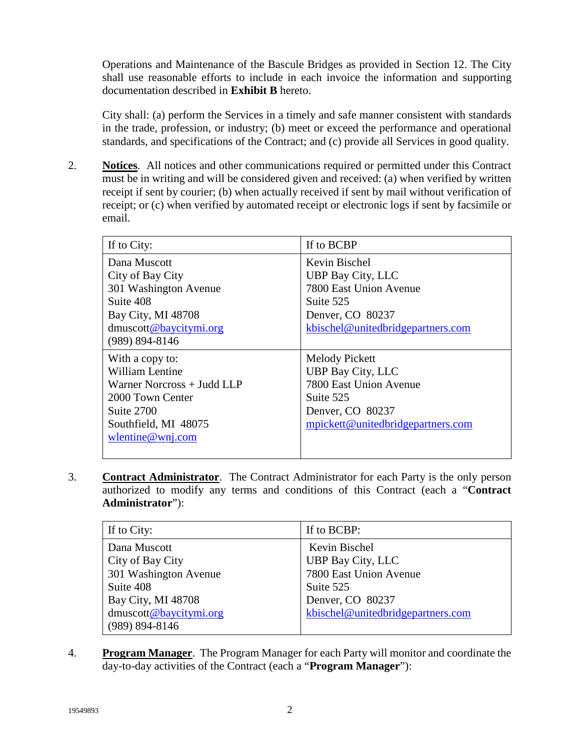Operations and Maintenance of the Bascule Bridges as provided in Section 12. The City shall use reasonable efforts to include in each invoice the information and supporting documentation described in **Exhibit B** hereto.

City shall: (a) perform the Services in a timely and safe manner consistent with standards in the trade, profession, or industry; (b) meet or exceed the performance and operational standards, and specifications of the Contract; and (c) provide all Services in good quality.

2. **Notices**. All notices and other communications required or permitted under this Contract must be in writing and will be considered given and received: (a) when verified by written receipt if sent by courier; (b) when actually received if sent by mail without verification of receipt; or (c) when verified by automated receipt or electronic logs if sent by facsimile or email.

| If to City:                                                                                                                                           | If to BCBP                                                                                                                                        |
|-------------------------------------------------------------------------------------------------------------------------------------------------------|---------------------------------------------------------------------------------------------------------------------------------------------------|
| Dana Muscott<br>City of Bay City<br>301 Washington Avenue<br>Suite 408<br>Bay City, MI 48708<br>dmuscott@baycitymi.org                                | Kevin Bischel<br><b>UBP Bay City, LLC</b><br>7800 East Union Avenue<br>Suite 525<br>Denver, CO 80237<br>kbischel@unitedbridgepartners.com         |
| $(989) 894 - 8146$                                                                                                                                    |                                                                                                                                                   |
| With a copy to:<br><b>William Lentine</b><br>Warner Norcross + Judd LLP<br>2000 Town Center<br>Suite 2700<br>Southfield, MI 48075<br>wlentine@wnj.com | <b>Melody Pickett</b><br><b>UBP Bay City, LLC</b><br>7800 East Union Avenue<br>Suite 525<br>Denver, CO 80237<br>mpickett@unitedbridgepartners.com |

3. **Contract Administrator**. The Contract Administrator for each Party is the only person authorized to modify any terms and conditions of this Contract (each a "**Contract Administrator**"):

| If to City:                                                            | If to BCBP:                                                               |
|------------------------------------------------------------------------|---------------------------------------------------------------------------|
| Dana Muscott<br>City of Bay City<br>301 Washington Avenue<br>Suite 408 | Kevin Bischel<br>UBP Bay City, LLC<br>7800 East Union Avenue<br>Suite 525 |
| Bay City, MI 48708<br>dmuscott@baycitymi.org<br>$(989) 894 - 8146$     | Denver, CO 80237<br>kbischel@unitedbridgepartners.com                     |

4. **Program Manager**. The Program Manager for each Party will monitor and coordinate the day-to-day activities of the Contract (each a "**Program Manager**"):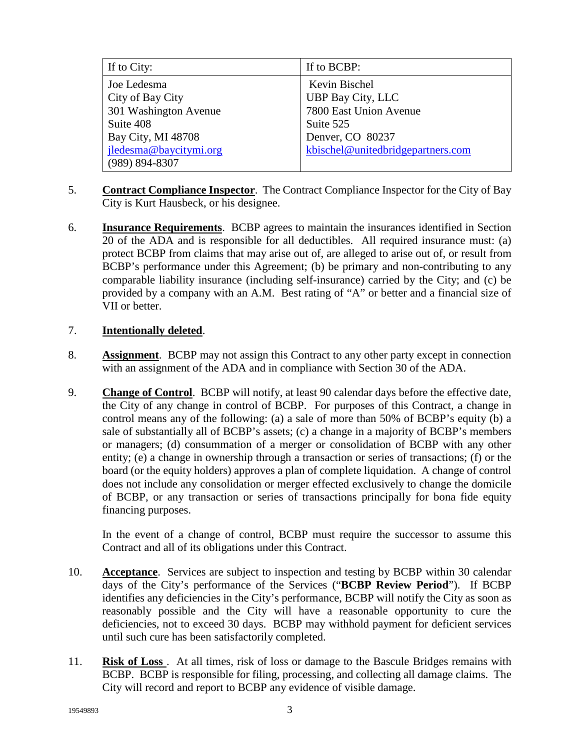| If to City:            | If to BCBP:                       |  |
|------------------------|-----------------------------------|--|
| Joe Ledesma            | Kevin Bischel                     |  |
| City of Bay City       | UBP Bay City, LLC                 |  |
| 301 Washington Avenue  | 7800 East Union Avenue            |  |
| Suite 408              | Suite 525                         |  |
| Bay City, MI 48708     | Denver, CO 80237                  |  |
| jledesma@baycitymi.org | kbischel@unitedbridgepartners.com |  |
| $(989) 894 - 8307$     |                                   |  |

- 5. **Contract Compliance Inspector**. The Contract Compliance Inspector for the City of Bay City is Kurt Hausbeck, or his designee.
- 6. **Insurance Requirements**. BCBP agrees to maintain the insurances identified in Section 20 of the ADA and is responsible for all deductibles. All required insurance must: (a) protect BCBP from claims that may arise out of, are alleged to arise out of, or result from BCBP's performance under this Agreement; (b) be primary and non-contributing to any comparable liability insurance (including self-insurance) carried by the City; and (c) be provided by a company with an A.M. Best rating of "A" or better and a financial size of VII or better.

# 7. **Intentionally deleted**.

- 8. **Assignment**. BCBP may not assign this Contract to any other party except in connection with an assignment of the ADA and in compliance with Section 30 of the ADA.
- 9. **Change of Control**. BCBP will notify, at least 90 calendar days before the effective date, the City of any change in control of BCBP. For purposes of this Contract, a change in control means any of the following: (a) a sale of more than 50% of BCBP's equity (b) a sale of substantially all of BCBP's assets; (c) a change in a majority of BCBP's members or managers; (d) consummation of a merger or consolidation of BCBP with any other entity; (e) a change in ownership through a transaction or series of transactions; (f) or the board (or the equity holders) approves a plan of complete liquidation. A change of control does not include any consolidation or merger effected exclusively to change the domicile of BCBP, or any transaction or series of transactions principally for bona fide equity financing purposes.

In the event of a change of control, BCBP must require the successor to assume this Contract and all of its obligations under this Contract.

- 10. **Acceptance**. Services are subject to inspection and testing by BCBP within 30 calendar days of the City's performance of the Services ("**BCBP Review Period**"). If BCBP identifies any deficiencies in the City's performance, BCBP will notify the City as soon as reasonably possible and the City will have a reasonable opportunity to cure the deficiencies, not to exceed 30 days. BCBP may withhold payment for deficient services until such cure has been satisfactorily completed.
- 11. **Risk of Loss** . At all times, risk of loss or damage to the Bascule Bridges remains with BCBP. BCBP is responsible for filing, processing, and collecting all damage claims. The City will record and report to BCBP any evidence of visible damage.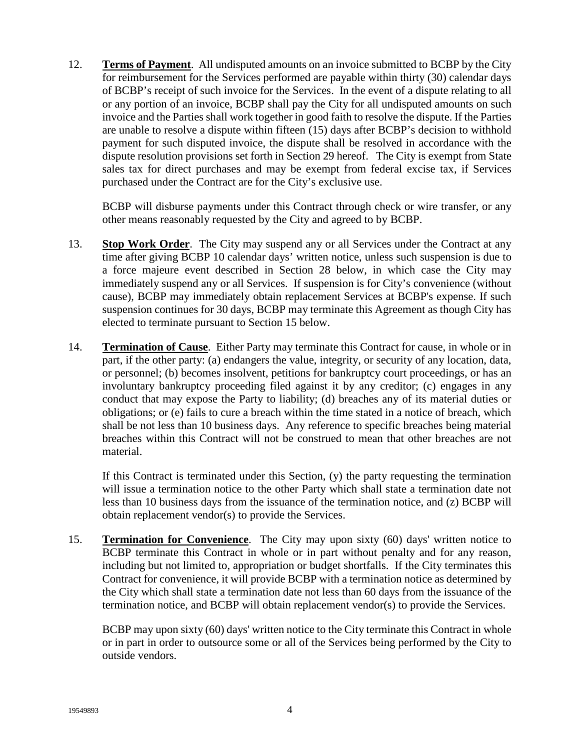12. **Terms of Payment**. All undisputed amounts on an invoice submitted to BCBP by the City for reimbursement for the Services performed are payable within thirty (30) calendar days of BCBP's receipt of such invoice for the Services. In the event of a dispute relating to all or any portion of an invoice, BCBP shall pay the City for all undisputed amounts on such invoice and the Parties shall work together in good faith to resolve the dispute. If the Parties are unable to resolve a dispute within fifteen (15) days after BCBP's decision to withhold payment for such disputed invoice, the dispute shall be resolved in accordance with the dispute resolution provisions set forth in Section 29 hereof. The City is exempt from State sales tax for direct purchases and may be exempt from federal excise tax, if Services purchased under the Contract are for the City's exclusive use.

BCBP will disburse payments under this Contract through check or wire transfer, or any other means reasonably requested by the City and agreed to by BCBP.

- 13. **Stop Work Order**. The City may suspend any or all Services under the Contract at any time after giving BCBP 10 calendar days' written notice, unless such suspension is due to a force majeure event described in Section 28 below, in which case the City may immediately suspend any or all Services. If suspension is for City's convenience (without cause), BCBP may immediately obtain replacement Services at BCBP's expense. If such suspension continues for 30 days, BCBP may terminate this Agreement as though City has elected to terminate pursuant to Section 15 below.
- 14. **Termination of Cause**. Either Party may terminate this Contract for cause, in whole or in part, if the other party: (a) endangers the value, integrity, or security of any location, data, or personnel; (b) becomes insolvent, petitions for bankruptcy court proceedings, or has an involuntary bankruptcy proceeding filed against it by any creditor; (c) engages in any conduct that may expose the Party to liability; (d) breaches any of its material duties or obligations; or (e) fails to cure a breach within the time stated in a notice of breach, which shall be not less than 10 business days. Any reference to specific breaches being material breaches within this Contract will not be construed to mean that other breaches are not material.

If this Contract is terminated under this Section, (y) the party requesting the termination will issue a termination notice to the other Party which shall state a termination date not less than 10 business days from the issuance of the termination notice, and (z) BCBP will obtain replacement vendor(s) to provide the Services.

15. **Termination for Convenience**. The City may upon sixty (60) days' written notice to BCBP terminate this Contract in whole or in part without penalty and for any reason, including but not limited to, appropriation or budget shortfalls. If the City terminates this Contract for convenience, it will provide BCBP with a termination notice as determined by the City which shall state a termination date not less than 60 days from the issuance of the termination notice, and BCBP will obtain replacement vendor(s) to provide the Services.

BCBP may upon sixty (60) days' written notice to the City terminate this Contract in whole or in part in order to outsource some or all of the Services being performed by the City to outside vendors.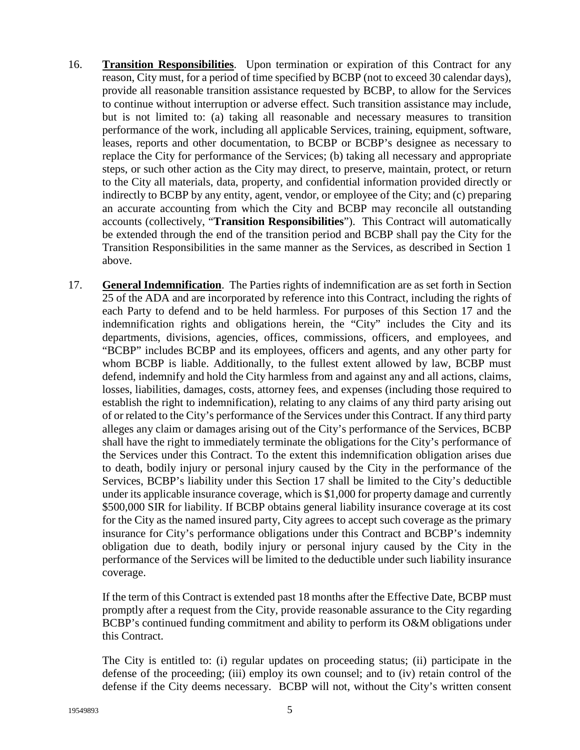- 16. **Transition Responsibilities**. Upon termination or expiration of this Contract for any reason, City must, for a period of time specified by BCBP (not to exceed 30 calendar days), provide all reasonable transition assistance requested by BCBP, to allow for the Services to continue without interruption or adverse effect. Such transition assistance may include, but is not limited to: (a) taking all reasonable and necessary measures to transition performance of the work, including all applicable Services, training, equipment, software, leases, reports and other documentation, to BCBP or BCBP's designee as necessary to replace the City for performance of the Services; (b) taking all necessary and appropriate steps, or such other action as the City may direct, to preserve, maintain, protect, or return to the City all materials, data, property, and confidential information provided directly or indirectly to BCBP by any entity, agent, vendor, or employee of the City; and (c) preparing an accurate accounting from which the City and BCBP may reconcile all outstanding accounts (collectively, "**Transition Responsibilities**"). This Contract will automatically be extended through the end of the transition period and BCBP shall pay the City for the Transition Responsibilities in the same manner as the Services, as described in Section 1 above.
- 17. **General Indemnification**. The Parties rights of indemnification are as set forth in Section 25 of the ADA and are incorporated by reference into this Contract, including the rights of each Party to defend and to be held harmless. For purposes of this Section 17 and the indemnification rights and obligations herein, the "City" includes the City and its departments, divisions, agencies, offices, commissions, officers, and employees, and "BCBP" includes BCBP and its employees, officers and agents, and any other party for whom BCBP is liable. Additionally, to the fullest extent allowed by law, BCBP must defend, indemnify and hold the City harmless from and against any and all actions, claims, losses, liabilities, damages, costs, attorney fees, and expenses (including those required to establish the right to indemnification), relating to any claims of any third party arising out of or related to the City's performance of the Services under this Contract. If any third party alleges any claim or damages arising out of the City's performance of the Services, BCBP shall have the right to immediately terminate the obligations for the City's performance of the Services under this Contract. To the extent this indemnification obligation arises due to death, bodily injury or personal injury caused by the City in the performance of the Services, BCBP's liability under this Section 17 shall be limited to the City's deductible under its applicable insurance coverage, which is \$1,000 for property damage and currently \$500,000 SIR for liability. If BCBP obtains general liability insurance coverage at its cost for the City as the named insured party, City agrees to accept such coverage as the primary insurance for City's performance obligations under this Contract and BCBP's indemnity obligation due to death, bodily injury or personal injury caused by the City in the performance of the Services will be limited to the deductible under such liability insurance coverage.

If the term of this Contract is extended past 18 months after the Effective Date, BCBP must promptly after a request from the City, provide reasonable assurance to the City regarding BCBP's continued funding commitment and ability to perform its O&M obligations under this Contract.

The City is entitled to: (i) regular updates on proceeding status; (ii) participate in the defense of the proceeding; (iii) employ its own counsel; and to (iv) retain control of the defense if the City deems necessary. BCBP will not, without the City's written consent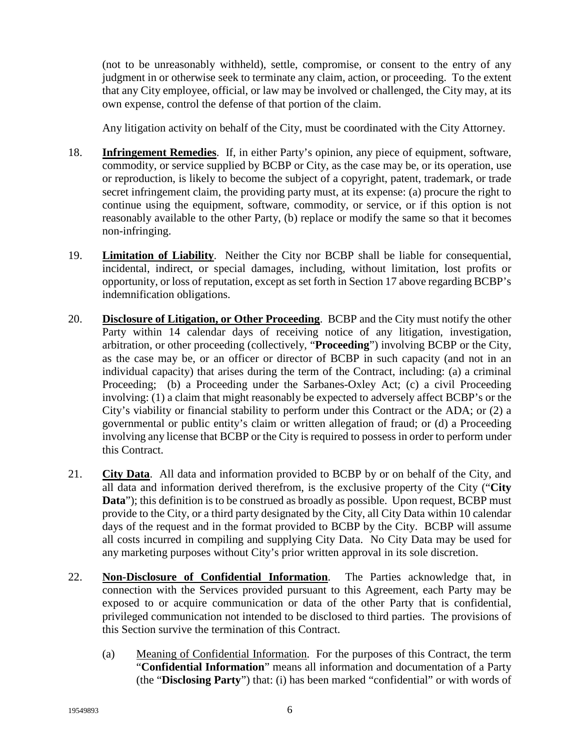(not to be unreasonably withheld), settle, compromise, or consent to the entry of any judgment in or otherwise seek to terminate any claim, action, or proceeding. To the extent that any City employee, official, or law may be involved or challenged, the City may, at its own expense, control the defense of that portion of the claim.

Any litigation activity on behalf of the City, must be coordinated with the City Attorney.

- 18. **Infringement Remedies**. If, in either Party's opinion, any piece of equipment, software, commodity, or service supplied by BCBP or City, as the case may be, or its operation, use or reproduction, is likely to become the subject of a copyright, patent, trademark, or trade secret infringement claim, the providing party must, at its expense: (a) procure the right to continue using the equipment, software, commodity, or service, or if this option is not reasonably available to the other Party, (b) replace or modify the same so that it becomes non-infringing.
- 19. **Limitation of Liability**. Neither the City nor BCBP shall be liable for consequential, incidental, indirect, or special damages, including, without limitation, lost profits or opportunity, or loss of reputation, except as set forth in Section 17 above regarding BCBP's indemnification obligations.
- 20. **Disclosure of Litigation, or Other Proceeding**. BCBP and the City must notify the other Party within 14 calendar days of receiving notice of any litigation, investigation, arbitration, or other proceeding (collectively, "**Proceeding**") involving BCBP or the City, as the case may be, or an officer or director of BCBP in such capacity (and not in an individual capacity) that arises during the term of the Contract, including: (a) a criminal Proceeding; (b) a Proceeding under the Sarbanes-Oxley Act; (c) a civil Proceeding involving: (1) a claim that might reasonably be expected to adversely affect BCBP's or the City's viability or financial stability to perform under this Contract or the ADA; or (2) a governmental or public entity's claim or written allegation of fraud; or (d) a Proceeding involving any license that BCBP or the City is required to possess in order to perform under this Contract.
- 21. **City Data**. All data and information provided to BCBP by or on behalf of the City, and all data and information derived therefrom, is the exclusive property of the City ("**City Data**"); this definition is to be construed as broadly as possible. Upon request, BCBP must provide to the City, or a third party designated by the City, all City Data within 10 calendar days of the request and in the format provided to BCBP by the City. BCBP will assume all costs incurred in compiling and supplying City Data. No City Data may be used for any marketing purposes without City's prior written approval in its sole discretion.
- 22. **Non-Disclosure of Confidential Information**. The Parties acknowledge that, in connection with the Services provided pursuant to this Agreement, each Party may be exposed to or acquire communication or data of the other Party that is confidential, privileged communication not intended to be disclosed to third parties. The provisions of this Section survive the termination of this Contract.
	- (a) Meaning of Confidential Information. For the purposes of this Contract, the term "**Confidential Information**" means all information and documentation of a Party (the "**Disclosing Party**") that: (i) has been marked "confidential" or with words of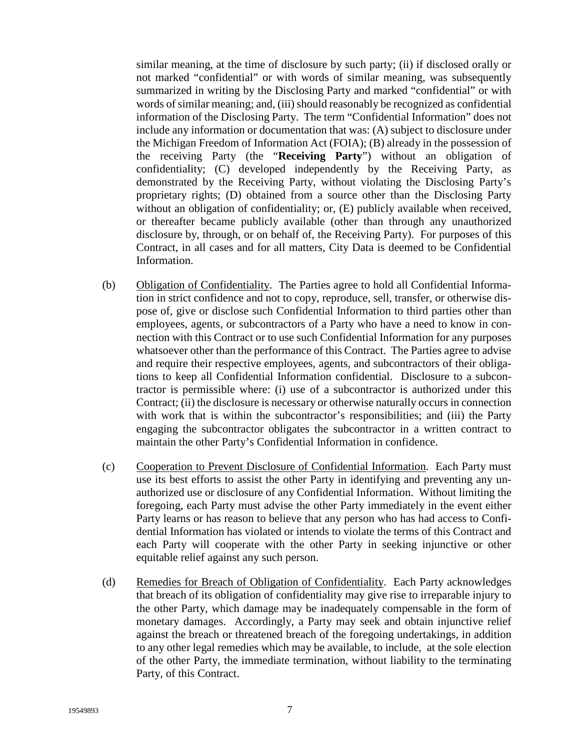similar meaning, at the time of disclosure by such party; (ii) if disclosed orally or not marked "confidential" or with words of similar meaning, was subsequently summarized in writing by the Disclosing Party and marked "confidential" or with words of similar meaning; and, (iii) should reasonably be recognized as confidential information of the Disclosing Party. The term "Confidential Information" does not include any information or documentation that was: (A) subject to disclosure under the Michigan Freedom of Information Act (FOIA); (B) already in the possession of the receiving Party (the "**Receiving Party**") without an obligation of confidentiality; (C) developed independently by the Receiving Party, as demonstrated by the Receiving Party, without violating the Disclosing Party's proprietary rights; (D) obtained from a source other than the Disclosing Party without an obligation of confidentiality; or,  $(E)$  publicly available when received, or thereafter became publicly available (other than through any unauthorized disclosure by, through, or on behalf of, the Receiving Party). For purposes of this Contract, in all cases and for all matters, City Data is deemed to be Confidential Information.

- (b) Obligation of Confidentiality. The Parties agree to hold all Confidential Information in strict confidence and not to copy, reproduce, sell, transfer, or otherwise dispose of, give or disclose such Confidential Information to third parties other than employees, agents, or subcontractors of a Party who have a need to know in connection with this Contract or to use such Confidential Information for any purposes whatsoever other than the performance of this Contract. The Parties agree to advise and require their respective employees, agents, and subcontractors of their obligations to keep all Confidential Information confidential. Disclosure to a subcontractor is permissible where: (i) use of a subcontractor is authorized under this Contract; (ii) the disclosure is necessary or otherwise naturally occurs in connection with work that is within the subcontractor's responsibilities; and (iii) the Party engaging the subcontractor obligates the subcontractor in a written contract to maintain the other Party's Confidential Information in confidence.
- (c) Cooperation to Prevent Disclosure of Confidential Information. Each Party must use its best efforts to assist the other Party in identifying and preventing any unauthorized use or disclosure of any Confidential Information. Without limiting the foregoing, each Party must advise the other Party immediately in the event either Party learns or has reason to believe that any person who has had access to Confidential Information has violated or intends to violate the terms of this Contract and each Party will cooperate with the other Party in seeking injunctive or other equitable relief against any such person.
- (d) Remedies for Breach of Obligation of Confidentiality. Each Party acknowledges that breach of its obligation of confidentiality may give rise to irreparable injury to the other Party, which damage may be inadequately compensable in the form of monetary damages. Accordingly, a Party may seek and obtain injunctive relief against the breach or threatened breach of the foregoing undertakings, in addition to any other legal remedies which may be available, to include, at the sole election of the other Party, the immediate termination, without liability to the terminating Party, of this Contract.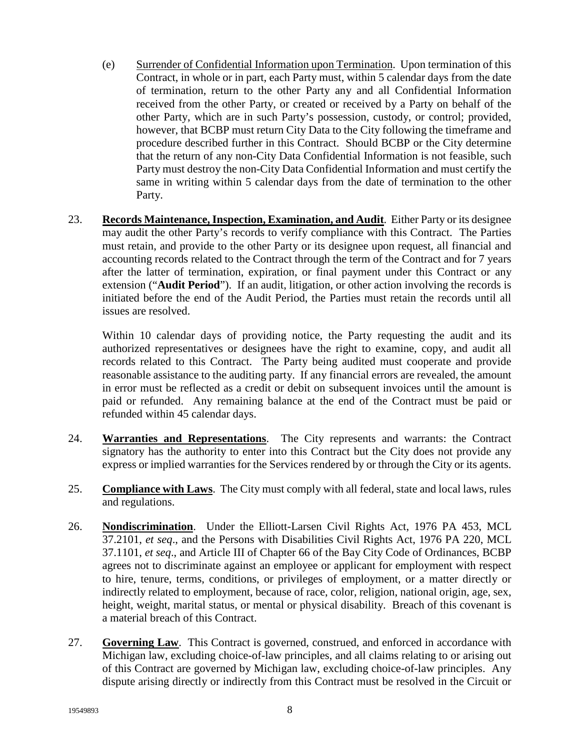- (e) Surrender of Confidential Information upon Termination. Upon termination of this Contract, in whole or in part, each Party must, within 5 calendar days from the date of termination, return to the other Party any and all Confidential Information received from the other Party, or created or received by a Party on behalf of the other Party, which are in such Party's possession, custody, or control; provided, however, that BCBP must return City Data to the City following the timeframe and procedure described further in this Contract. Should BCBP or the City determine that the return of any non-City Data Confidential Information is not feasible, such Party must destroy the non-City Data Confidential Information and must certify the same in writing within 5 calendar days from the date of termination to the other Party.
- 23. **Records Maintenance, Inspection, Examination, and Audit**. Either Party or its designee may audit the other Party's records to verify compliance with this Contract. The Parties must retain, and provide to the other Party or its designee upon request, all financial and accounting records related to the Contract through the term of the Contract and for 7 years after the latter of termination, expiration, or final payment under this Contract or any extension ("**Audit Period**"). If an audit, litigation, or other action involving the records is initiated before the end of the Audit Period, the Parties must retain the records until all issues are resolved.

Within 10 calendar days of providing notice, the Party requesting the audit and its authorized representatives or designees have the right to examine, copy, and audit all records related to this Contract. The Party being audited must cooperate and provide reasonable assistance to the auditing party. If any financial errors are revealed, the amount in error must be reflected as a credit or debit on subsequent invoices until the amount is paid or refunded. Any remaining balance at the end of the Contract must be paid or refunded within 45 calendar days.

- 24. **Warranties and Representations**. The City represents and warrants: the Contract signatory has the authority to enter into this Contract but the City does not provide any express or implied warranties for the Services rendered by or through the City or its agents.
- 25. **Compliance with Laws**. The City must comply with all federal, state and local laws, rules and regulations.
- 26. **Nondiscrimination**. Under the Elliott-Larsen Civil Rights Act, 1976 PA 453, MCL 37.2101, *et seq*., and the Persons with Disabilities Civil Rights Act, 1976 PA 220, MCL 37.1101, *et seq*., and Article III of Chapter 66 of the Bay City Code of Ordinances, BCBP agrees not to discriminate against an employee or applicant for employment with respect to hire, tenure, terms, conditions, or privileges of employment, or a matter directly or indirectly related to employment, because of race, color, religion, national origin, age, sex, height, weight, marital status, or mental or physical disability. Breach of this covenant is a material breach of this Contract.
- 27. **Governing Law**. This Contract is governed, construed, and enforced in accordance with Michigan law, excluding choice-of-law principles, and all claims relating to or arising out of this Contract are governed by Michigan law, excluding choice-of-law principles. Any dispute arising directly or indirectly from this Contract must be resolved in the Circuit or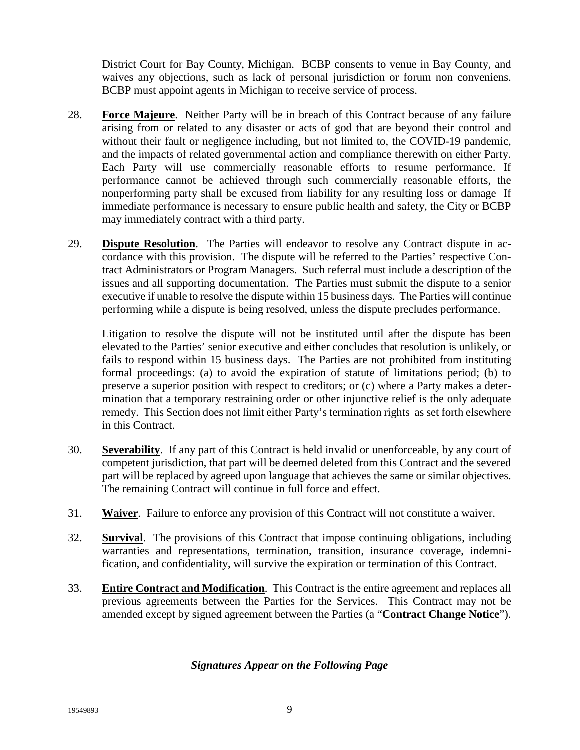District Court for Bay County, Michigan. BCBP consents to venue in Bay County, and waives any objections, such as lack of personal jurisdiction or forum non conveniens. BCBP must appoint agents in Michigan to receive service of process.

- 28. **Force Majeure**. Neither Party will be in breach of this Contract because of any failure arising from or related to any disaster or acts of god that are beyond their control and without their fault or negligence including, but not limited to, the COVID-19 pandemic, and the impacts of related governmental action and compliance therewith on either Party. Each Party will use commercially reasonable efforts to resume performance. If performance cannot be achieved through such commercially reasonable efforts, the nonperforming party shall be excused from liability for any resulting loss or damage If immediate performance is necessary to ensure public health and safety, the City or BCBP may immediately contract with a third party.
- 29. **Dispute Resolution**. The Parties will endeavor to resolve any Contract dispute in accordance with this provision. The dispute will be referred to the Parties' respective Contract Administrators or Program Managers. Such referral must include a description of the issues and all supporting documentation. The Parties must submit the dispute to a senior executive if unable to resolve the dispute within 15 business days. The Parties will continue performing while a dispute is being resolved, unless the dispute precludes performance.

Litigation to resolve the dispute will not be instituted until after the dispute has been elevated to the Parties' senior executive and either concludes that resolution is unlikely, or fails to respond within 15 business days. The Parties are not prohibited from instituting formal proceedings: (a) to avoid the expiration of statute of limitations period; (b) to preserve a superior position with respect to creditors; or (c) where a Party makes a determination that a temporary restraining order or other injunctive relief is the only adequate remedy. This Section does not limit either Party's termination rights as set forth elsewhere in this Contract.

- 30. **Severability**. If any part of this Contract is held invalid or unenforceable, by any court of competent jurisdiction, that part will be deemed deleted from this Contract and the severed part will be replaced by agreed upon language that achieves the same or similar objectives. The remaining Contract will continue in full force and effect.
- 31. **Waiver**. Failure to enforce any provision of this Contract will not constitute a waiver.
- 32. **Survival**. The provisions of this Contract that impose continuing obligations, including warranties and representations, termination, transition, insurance coverage, indemnification, and confidentiality, will survive the expiration or termination of this Contract.
- 33. **Entire Contract and Modification**. This Contract is the entire agreement and replaces all previous agreements between the Parties for the Services. This Contract may not be amended except by signed agreement between the Parties (a "**Contract Change Notice**").

# *Signatures Appear on the Following Page*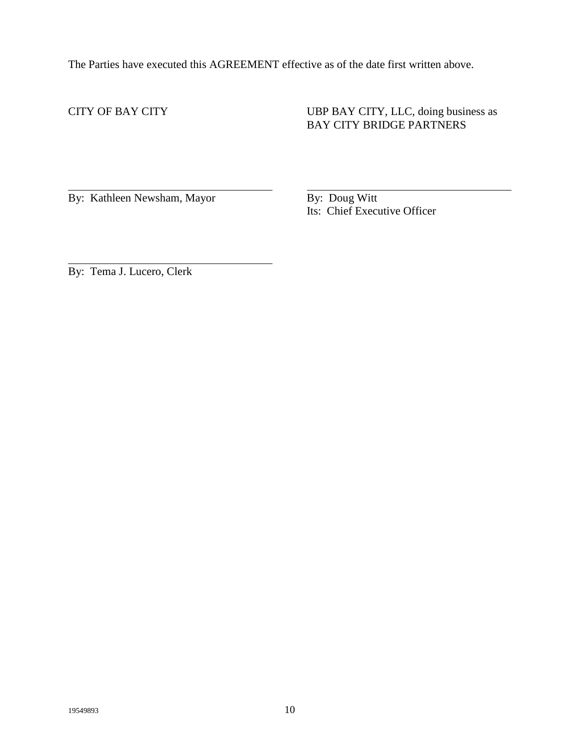The Parties have executed this AGREEMENT effective as of the date first written above.

CITY OF BAY CITY UBP BAY CITY, LLC, doing business as BAY CITY BRIDGE PARTNERS

By: Kathleen Newsham, Mayor By: Doug Witt

Its: Chief Executive Officer

By: Tema J. Lucero, Clerk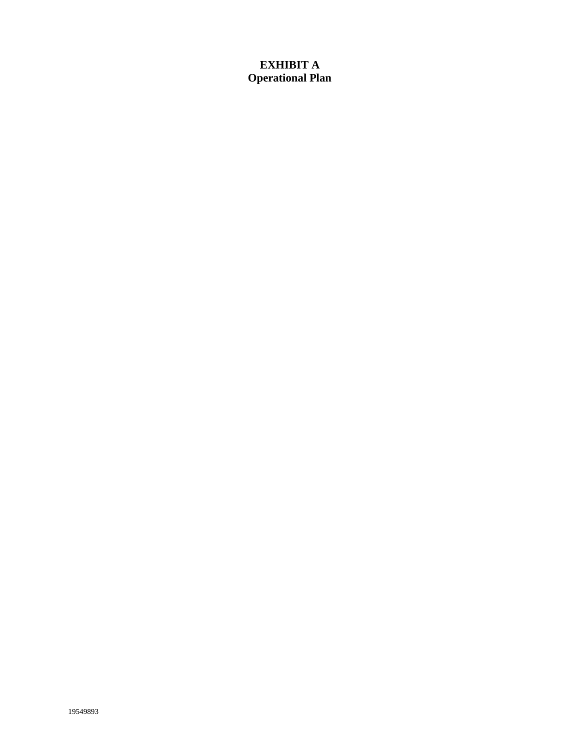# **EXHIBIT A Operational Plan**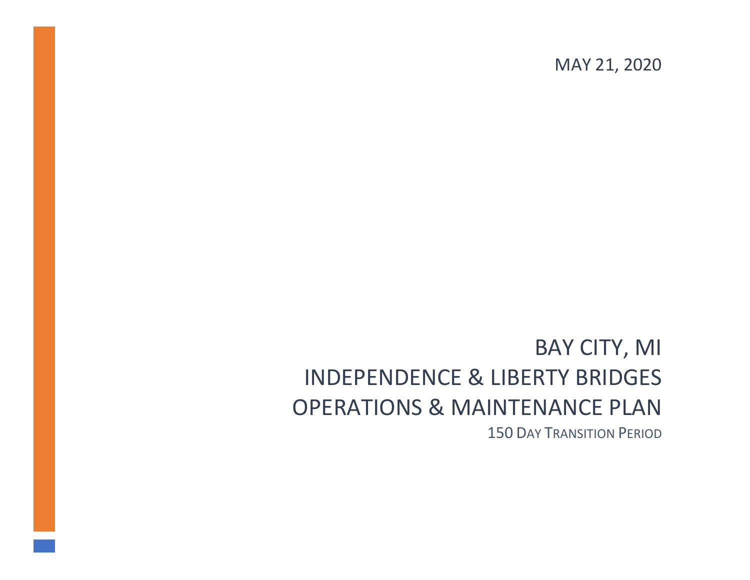MAY 21, 2020

# BAY CITY, MI INDEPENDENCE & LIBERTY BRIDGES OPERATIONS & MAINTENANCE PLAN 150 DAY TRANSITION PERIOD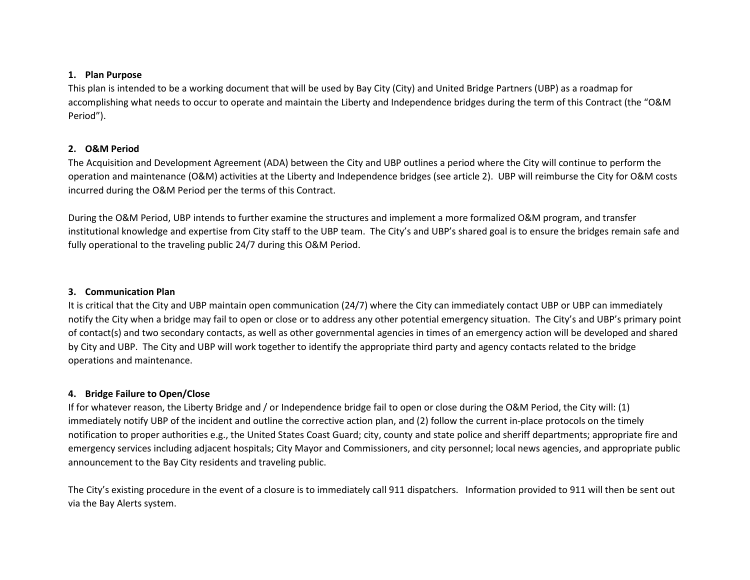#### **1. Plan Purpose**

This plan is intended to be a working document that will be used by Bay City (City) and United Bridge Partners (UBP) as a roadmap for accomplishing what needs to occur to operate and maintain the Liberty and Independence bridges during the term of this Contract (the "O&M Period").

#### **2. O&M Period**

The Acquisition and Development Agreement (ADA) between the City and UBP outlines a period where the City will continue to perform the operation and maintenance (O&M) activities at the Liberty and Independence bridges (see article 2). UBP will reimburse the City for O&M costs incurred during the O&M Period per the terms of this Contract.

During the O&M Period, UBP intends to further examine the structures and implement a more formalized O&M program, and transfer institutional knowledge and expertise from City staff to the UBP team. The City's and UBP's shared goal is to ensure the bridges remain safe and fully operational to the traveling public 24/7 during this O&M Period.

#### **3. Communication Plan**

It is critical that the City and UBP maintain open communication (24/7) where the City can immediately contact UBP or UBP can immediately notify the City when a bridge may fail to open or close or to address any other potential emergency situation. The City's and UBP's primary point of contact(s) and two secondary contacts, as well as other governmental agencies in times of an emergency action will be developed and shared by City and UBP. The City and UBP will work together to identify the appropriate third party and agency contacts related to the bridge operations and maintenance.

#### **4. Bridge Failure to Open/Close**

If for whatever reason, the Liberty Bridge and / or Independence bridge fail to open or close during the O&M Period, the City will: (1) immediately notify UBP of the incident and outline the corrective action plan, and (2) follow the current in-place protocols on the timely notification to proper authorities e.g., the United States Coast Guard; city, county and state police and sheriff departments; appropriate fire and emergency services including adjacent hospitals; City Mayor and Commissioners, and city personnel; local news agencies, and appropriate public announcement to the Bay City residents and traveling public.

The City's existing procedure in the event of a closure is to immediately call 911 dispatchers. Information provided to 911 will then be sent out via the Bay Alerts system.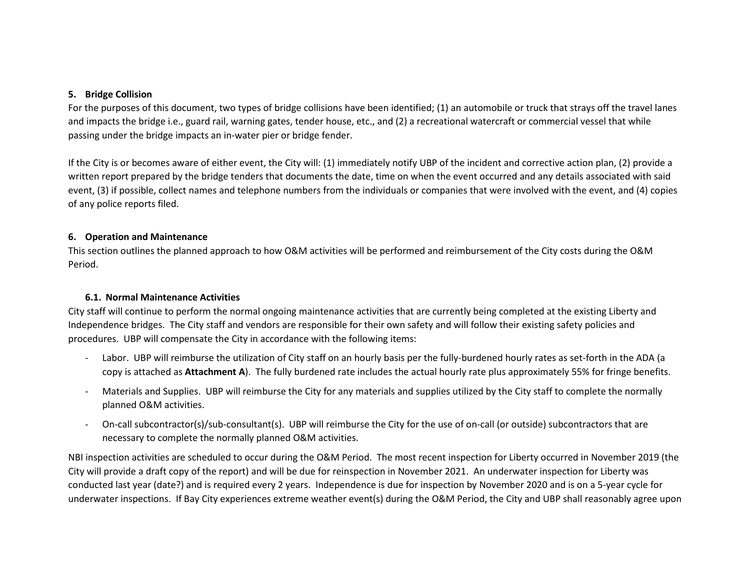#### **5. Bridge Collision**

For the purposes of this document, two types of bridge collisions have been identified; (1) an automobile or truck that strays off the travel lanes and impacts the bridge i.e., guard rail, warning gates, tender house, etc., and (2) a recreational watercraft or commercial vessel that while passing under the bridge impacts an in-water pier or bridge fender.

If the City is or becomes aware of either event, the City will: (1) immediately notify UBP of the incident and corrective action plan, (2) provide a written report prepared by the bridge tenders that documents the date, time on when the event occurred and any details associated with said event, (3) if possible, collect names and telephone numbers from the individuals or companies that were involved with the event, and (4) copies of any police reports filed.

#### **6. Operation and Maintenance**

This section outlines the planned approach to how O&M activities will be performed and reimbursement of the City costs during the O&M Period.

#### **6.1. Normal Maintenance Activities**

City staff will continue to perform the normal ongoing maintenance activities that are currently being completed at the existing Liberty and Independence bridges. The City staff and vendors are responsible for their own safety and will follow their existing safety policies and procedures. UBP will compensate the City in accordance with the following items:

- Labor. UBP will reimburse the utilization of City staff on an hourly basis per the fully-burdened hourly rates as set-forth in the ADA (a copy is attached as **Attachment A**). The fully burdened rate includes the actual hourly rate plus approximately 55% for fringe benefits.
- Materials and Supplies. UBP will reimburse the City for any materials and supplies utilized by the City staff to complete the normally planned O&M activities.
- On-call subcontractor(s)/sub-consultant(s). UBP will reimburse the City for the use of on-call (or outside) subcontractors that are necessary to complete the normally planned O&M activities.

NBI inspection activities are scheduled to occur during the O&M Period. The most recent inspection for Liberty occurred in November 2019 (the City will provide a draft copy of the report) and will be due for reinspection in November 2021. An underwater inspection for Liberty was conducted last year (date?) and is required every 2 years. Independence is due for inspection by November 2020 and is on a 5-year cycle for underwater inspections. If Bay City experiences extreme weather event(s) during the O&M Period, the City and UBP shall reasonably agree upon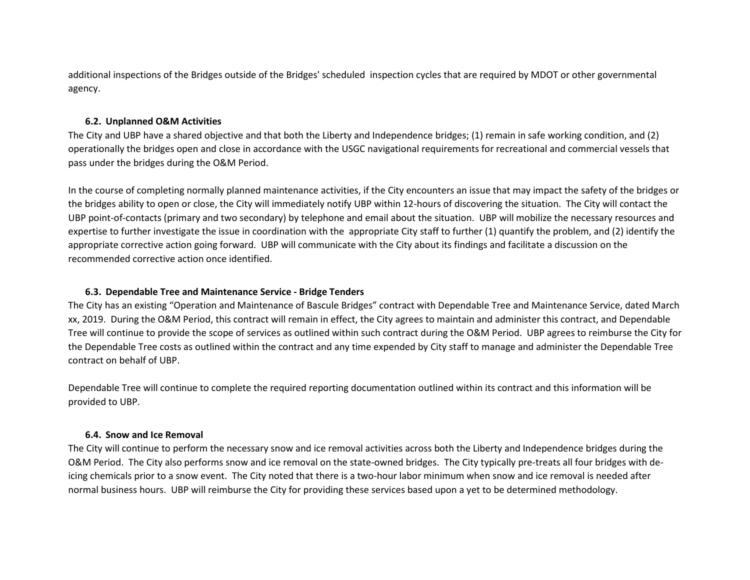additional inspections of the Bridges outside of the Bridges' scheduled inspection cycles that are required by MDOT or other governmental agency.

#### **6.2. Unplanned O&M Activities**

The City and UBP have a shared objective and that both the Liberty and Independence bridges; (1) remain in safe working condition, and (2) operationally the bridges open and close in accordance with the USGC navigational requirements for recreational and commercial vessels that pass under the bridges during the O&M Period.

In the course of completing normally planned maintenance activities, if the City encounters an issue that may impact the safety of the bridges or the bridges ability to open or close, the City will immediately notify UBP within 12-hours of discovering the situation. The City will contact the UBP point-of-contacts (primary and two secondary) by telephone and email about the situation. UBP will mobilize the necessary resources and expertise to further investigate the issue in coordination with the appropriate City staff to further (1) quantify the problem, and (2) identify the appropriate corrective action going forward. UBP will communicate with the City about its findings and facilitate a discussion on the recommended corrective action once identified.

#### **6.3. Dependable Tree and Maintenance Service - Bridge Tenders**

The City has an existing "Operation and Maintenance of Bascule Bridges" contract with Dependable Tree and Maintenance Service, dated March xx, 2019. During the O&M Period, this contract will remain in effect, the City agrees to maintain and administer this contract, and Dependable Tree will continue to provide the scope of services as outlined within such contract during the O&M Period. UBP agrees to reimburse the City for the Dependable Tree costs as outlined within the contract and any time expended by City staff to manage and administer the Dependable Tree contract on behalf of UBP.

Dependable Tree will continue to complete the required reporting documentation outlined within its contract and this information will be provided to UBP.

#### **6.4. Snow and Ice Removal**

The City will continue to perform the necessary snow and ice removal activities across both the Liberty and Independence bridges during the O&M Period. The City also performs snow and ice removal on the state-owned bridges. The City typically pre-treats all four bridges with deicing chemicals prior to a snow event. The City noted that there is a two-hour labor minimum when snow and ice removal is needed after normal business hours. UBP will reimburse the City for providing these services based upon a yet to be determined methodology.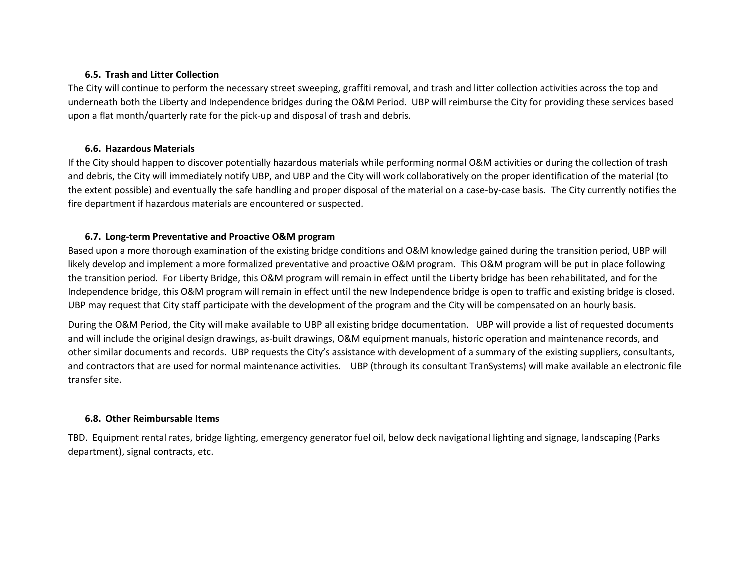#### **6.5. Trash and Litter Collection**

The City will continue to perform the necessary street sweeping, graffiti removal, and trash and litter collection activities across the top and underneath both the Liberty and Independence bridges during the O&M Period. UBP will reimburse the City for providing these services based upon a flat month/quarterly rate for the pick-up and disposal of trash and debris.

#### **6.6. Hazardous Materials**

If the City should happen to discover potentially hazardous materials while performing normal O&M activities or during the collection of trash and debris, the City will immediately notify UBP, and UBP and the City will work collaboratively on the proper identification of the material (to the extent possible) and eventually the safe handling and proper disposal of the material on a case-by-case basis. The City currently notifies the fire department if hazardous materials are encountered or suspected.

#### **6.7. Long-term Preventative and Proactive O&M program**

Based upon a more thorough examination of the existing bridge conditions and O&M knowledge gained during the transition period, UBP will likely develop and implement a more formalized preventative and proactive O&M program. This O&M program will be put in place following the transition period. For Liberty Bridge, this O&M program will remain in effect until the Liberty bridge has been rehabilitated, and for the Independence bridge, this O&M program will remain in effect until the new Independence bridge is open to traffic and existing bridge is closed. UBP may request that City staff participate with the development of the program and the City will be compensated on an hourly basis.

During the O&M Period, the City will make available to UBP all existing bridge documentation. UBP will provide a list of requested documents and will include the original design drawings, as-built drawings, O&M equipment manuals, historic operation and maintenance records, and other similar documents and records. UBP requests the City's assistance with development of a summary of the existing suppliers, consultants, and contractors that are used for normal maintenance activities. UBP (through its consultant TranSystems) will make available an electronic file transfer site.

#### **6.8. Other Reimbursable Items**

TBD. Equipment rental rates, bridge lighting, emergency generator fuel oil, below deck navigational lighting and signage, landscaping (Parks department), signal contracts, etc.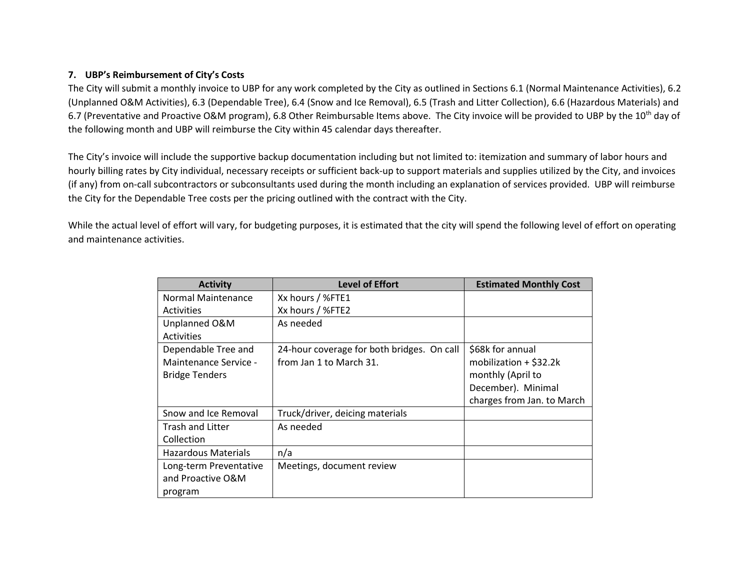#### **7. UBP's Reimbursement of City's Costs**

The City will submit a monthly invoice to UBP for any work completed by the City as outlined in Sections 6.1 (Normal Maintenance Activities), 6.2 (Unplanned O&M Activities), 6.3 (Dependable Tree), 6.4 (Snow and Ice Removal), 6.5 (Trash and Litter Collection), 6.6 (Hazardous Materials) and 6.7 (Preventative and Proactive O&M program), 6.8 Other Reimbursable Items above. The City invoice will be provided to UBP by the 10<sup>th</sup> day of the following month and UBP will reimburse the City within 45 calendar days thereafter.

The City's invoice will include the supportive backup documentation including but not limited to: itemization and summary of labor hours and hourly billing rates by City individual, necessary receipts or sufficient back-up to support materials and supplies utilized by the City, and invoices (if any) from on-call subcontractors or subconsultants used during the month including an explanation of services provided. UBP will reimburse the City for the Dependable Tree costs per the pricing outlined with the contract with the City.

While the actual level of effort will vary, for budgeting purposes, it is estimated that the city will spend the following level of effort on operating and maintenance activities.

| <b>Activity</b>         | <b>Level of Effort</b>                     | <b>Estimated Monthly Cost</b> |
|-------------------------|--------------------------------------------|-------------------------------|
| Normal Maintenance      | Xx hours / %FTE1                           |                               |
| <b>Activities</b>       | Xx hours / %FTE2                           |                               |
| Unplanned O&M           | As needed                                  |                               |
| <b>Activities</b>       |                                            |                               |
| Dependable Tree and     | 24-hour coverage for both bridges. On call | \$68k for annual              |
| Maintenance Service -   | from Jan 1 to March 31.                    | mobilization $+$ \$32.2k      |
| <b>Bridge Tenders</b>   |                                            | monthly (April to             |
|                         |                                            | December). Minimal            |
|                         |                                            | charges from Jan. to March    |
| Snow and Ice Removal    | Truck/driver, deicing materials            |                               |
| <b>Trash and Litter</b> | As needed                                  |                               |
| Collection              |                                            |                               |
| Hazardous Materials     | n/a                                        |                               |
| Long-term Preventative  | Meetings, document review                  |                               |
| and Proactive O&M       |                                            |                               |
| program                 |                                            |                               |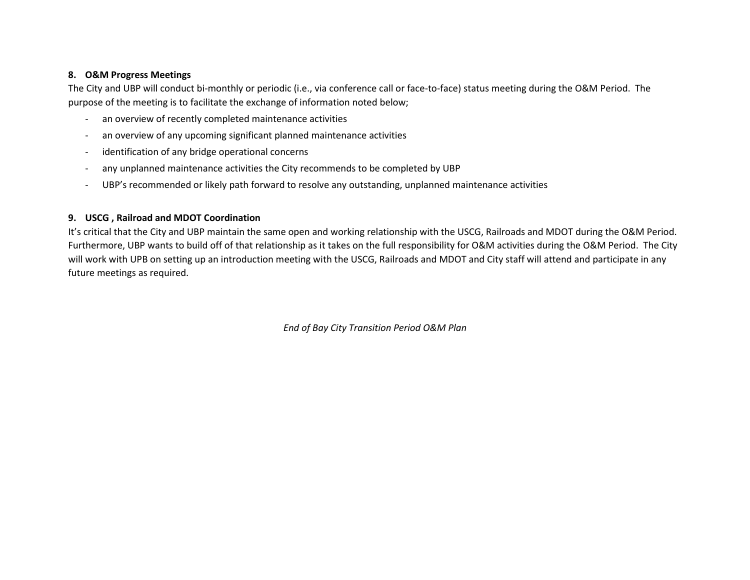#### **8. O&M Progress Meetings**

The City and UBP will conduct bi-monthly or periodic (i.e., via conference call or face-to-face) status meeting during the O&M Period. The purpose of the meeting is to facilitate the exchange of information noted below;

- an overview of recently completed maintenance activities
- an overview of any upcoming significant planned maintenance activities
- identification of any bridge operational concerns
- any unplanned maintenance activities the City recommends to be completed by UBP
- UBP's recommended or likely path forward to resolve any outstanding, unplanned maintenance activities

#### **9. USCG , Railroad and MDOT Coordination**

It's critical that the City and UBP maintain the same open and working relationship with the USCG, Railroads and MDOT during the O&M Period. Furthermore, UBP wants to build off of that relationship as it takes on the full responsibility for O&M activities during the O&M Period. The City will work with UPB on setting up an introduction meeting with the USCG, Railroads and MDOT and City staff will attend and participate in any future meetings as required.

*End of Bay City Transition Period O&M Plan*